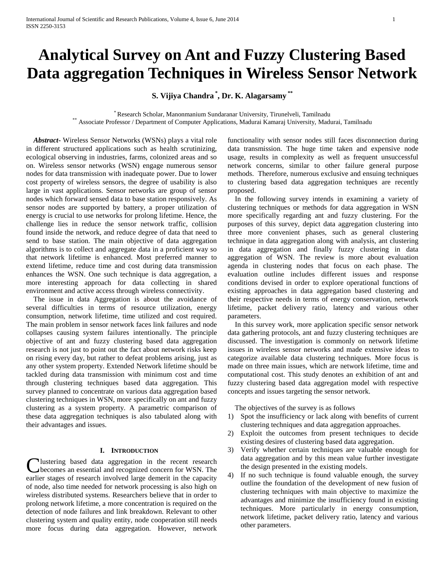# **Analytical Survey on Ant and Fuzzy Clustering Based Data aggregation Techniques in Wireless Sensor Network**

**S. Vijiya Chandra \* , Dr. K. Alagarsamy \*\***

\* Research Scholar, Manonmanium Sundaranar University, Tirunelveli, Tamilnadu \*\* Associate Professor / Department of Computer Applications, Madurai Kamaraj University, Madurai, Tamilnadu

 *Abstract***-** Wireless Sensor Networks (WSNs) plays a vital role in different structured applications such as health scrutinizing, ecological observing in industries, farms, colonized areas and so on. Wireless sensor networks (WSN) engage numerous sensor nodes for data transmission with inadequate power. Due to lower cost property of wireless sensors, the degree of usability is also large in vast applications. Sensor networks are group of sensor nodes which forward sensed data to base station responsively. As sensor nodes are supported by battery, a proper utilization of energy is crucial to use networks for prolong lifetime. Hence, the challenge lies in reduce the sensor network traffic, collision found inside the network, and reduce degree of data that need to send to base station. The main objective of data aggregation algorithms is to collect and aggregate data in a proficient way so that network lifetime is enhanced. Most preferred manner to extend lifetime, reduce time and cost during data transmission enhances the WSN. One such technique is data aggregation, a more interesting approach for data collecting in shared environment and active access through wireless connectivity.

 The issue in data Aggregation is about the avoidance of several difficulties in terms of resource utilization, energy consumption, network lifetime, time utilized and cost required. The main problem in sensor network faces link failures and node collapses causing system failures intentionally. The principle objective of ant and fuzzy clustering based data aggregation research is not just to point out the fact about network risks keep on rising every day, but rather to defeat problems arising, just as any other system property. Extended Network lifetime should be tackled during data transmission with minimum cost and time through clustering techniques based data aggregation. This survey planned to concentrate on various data aggregation based clustering techniques in WSN, more specifically on ant and fuzzy clustering as a system property. A parametric comparison of these data aggregation techniques is also tabulated along with their advantages and issues.

## **I. INTRODUCTION**

lustering based data aggregation in the recent research Clustering based data aggregation in the recent research<br>
checomes an essential and recognized concern for WSN. The earlier stages of research involved large demerit in the capacity of node, also time needed for network processing is also high on wireless distributed systems. Researchers believe that in order to prolong network lifetime, a more concentration is required on the detection of node failures and link breakdown. Relevant to other clustering system and quality entity, node cooperation still needs more focus during data aggregation. However, network

functionality with sensor nodes still faces disconnection during data transmission. The huge time taken and expensive node usage, results in complexity as well as frequent unsuccessful network concerns, similar to other failure general purpose methods. Therefore, numerous exclusive and ensuing techniques to clustering based data aggregation techniques are recently proposed.

 In the following survey intends in examining a variety of clustering techniques or methods for data aggregation in WSN more specifically regarding ant and fuzzy clustering. For the purposes of this survey, depict data aggregation clustering into three more convenient phases, such as general clustering technique in data aggregation along with analysis, ant clustering in data aggregation and finally fuzzy clustering in data aggregation of WSN. The review is more about evaluation agenda in clustering nodes that focus on each phase. The evaluation outline includes different issues and response conditions devised in order to explore operational functions of existing approaches in data aggregation based clustering and their respective needs in terms of energy conservation, network lifetime, packet delivery ratio, latency and various other parameters.

 In this survey work, more application specific sensor network data gathering protocols, ant and fuzzy clustering techniques are discussed. The investigation is commonly on network lifetime issues in wireless sensor networks and made extensive ideas to categorize available data clustering techniques. More focus is made on three main issues, which are network lifetime, time and computational cost. This study denotes an exhibition of ant and fuzzy clustering based data aggregation model with respective concepts and issues targeting the sensor network.

The objectives of the survey is as follows

- 1) Spot the insufficiency or lack along with benefits of current clustering techniques and data aggregation approaches.
- 2) Exploit the outcomes from present techniques to decide existing desires of clustering based data aggregation.
- 3) Verify whether certain techniques are valuable enough for data aggregation and by this mean value further investigate the design presented in the existing models.
- 4) If no such technique is found valuable enough, the survey outline the foundation of the development of new fusion of clustering techniques with main objective to maximize the advantages and minimize the insufficiency found in existing techniques. More particularly in energy consumption, network lifetime, packet delivery ratio, latency and various other parameters.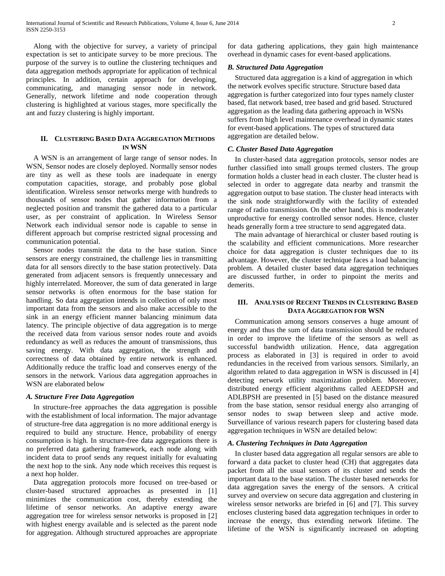Along with the objective for survey, a variety of principal expectation is set to anticipate survey to be more precious. The purpose of the survey is to outline the clustering techniques and data aggregation methods appropriate for application of technical principles. In addition, certain approach for developing, communicating, and managing sensor node in network. Generally, network lifetime and node cooperation through clustering is highlighted at various stages, more specifically the ant and fuzzy clustering is highly important.

## **II. CLUSTERING BASED DATA AGGREGATION METHODS IN WSN**

 A WSN is an arrangement of large range of sensor nodes. In WSN, Sensor nodes are closely deployed. Normally sensor nodes are tiny as well as these tools are inadequate in energy computation capacities, storage, and probably pose global identification. Wireless sensor networks merge with hundreds to thousands of sensor nodes that gather information from a neglected position and transmit the gathered data to a particular user, as per constraint of application. In Wireless Sensor Network each individual sensor node is capable to sense in different approach but comprise restricted signal processing and communication potential.

 Sensor nodes transmit the data to the base station. Since sensors are energy constrained, the challenge lies in transmitting data for all sensors directly to the base station protectively. Data generated from adjacent sensors is frequently unnecessary and highly interrelated. Moreover, the sum of data generated in large sensor networks is often enormous for the base station for handling. So data aggregation intends in collection of only most important data from the sensors and also make accessible to the sink in an energy efficient manner balancing minimum data latency. The principle objective of data aggregation is to merge the received data from various sensor nodes route and avoids redundancy as well as reduces the amount of transmissions, thus saving energy. With data aggregation, the strength and correctness of data obtained by entire network is enhanced. Additionally reduce the traffic load and conserves energy of the sensors in the network. Various data aggregation approaches in WSN are elaborated below

## *A. Structure Free Data Aggregation*

 In structure-free approaches the data aggregation is possible with the establishment of local information. The major advantage of structure-free data aggregation is no more additional energy is required to build any structure. Hence, probability of energy consumption is high. In structure-free data aggregations there is no preferred data gathering framework, each node along with incident data to proof sends any request initially for evaluating the next hop to the sink. Any node which receives this request is a next hop holder.

 Data aggregation protocols more focused on tree-based or cluster-based structured approaches as presented in [1] minimizes the communication cost, thereby extending the lifetime of sensor networks. An adaptive energy aware aggregation tree for wireless sensor networks is proposed in [2] with highest energy available and is selected as the parent node for aggregation. Although structured approaches are appropriate

for data gathering applications, they gain high maintenance overhead in dynamic cases for event-based applications.

# *B. Structured Data Aggregation*

 Structured data aggregation is a kind of aggregation in which the network evolves specific structure. Structure based data aggregation is further categorized into four types namely cluster based, flat network based, tree based and grid based. Structured aggregation as the leading data gathering approach in WSNs suffers from high level maintenance overhead in dynamic states for event-based applications. The types of structured data aggregation are detailed below.

## *C. Cluster Based Data Aggregation*

 In cluster-based data aggregation protocols, sensor nodes are further classified into small groups termed clusters. The group formation holds a cluster head in each cluster. The cluster head is selected in order to aggregate data nearby and transmit the aggregation output to base station. The cluster head interacts with the sink node straightforwardly with the facility of extended range of radio transmission. On the other hand, this is moderately unproductive for energy controlled sensor nodes. Hence, cluster heads generally form a tree structure to send aggregated data.

 The main advantage of hierarchical or cluster based routing is the scalability and efficient communications. More researcher choice for data aggregation is cluster techniques due to its advantage. However, the cluster technique faces a load balancing problem. A detailed cluster based data aggregation techniques are discussed further, in order to pinpoint the merits and demerits.

## **III. ANALYSIS OF RECENT TRENDS IN CLUSTERING BASED DATA AGGREGATION FOR WSN**

 Communication among sensors conserves a huge amount of energy and thus the sum of data transmission should be reduced in order to improve the lifetime of the sensors as well as successful bandwidth utilization. Hence, data aggregation process as elaborated in [3] is required in order to avoid redundancies in the received from various sensors. Similarly, an algorithm related to data aggregation in WSN is discussed in [4] detecting network utility maximization problem. Moreover, distributed energy efficient algorithms called AEEDPSH and ADLBPSH are presented in [5] based on the distance measured from the base station, sensor residual energy also arranging of sensor nodes to swap between sleep and active mode. Surveillance of various research papers for clustering based data aggregation techniques in WSN are detailed below:

## *A. Clustering Techniques in Data Aggregation*

 In cluster based data aggregation all regular sensors are able to forward a data packet to cluster head (CH) that aggregates data packet from all the usual sensors of its cluster and sends the important data to the base station. The cluster based networks for data aggregation saves the energy of the sensors. A critical survey and overview on secure data aggregation and clustering in wireless sensor networks are briefed in [6] and [7]. This survey encloses clustering based data aggregation techniques in order to increase the energy, thus extending network lifetime. The lifetime of the WSN is significantly increased on adopting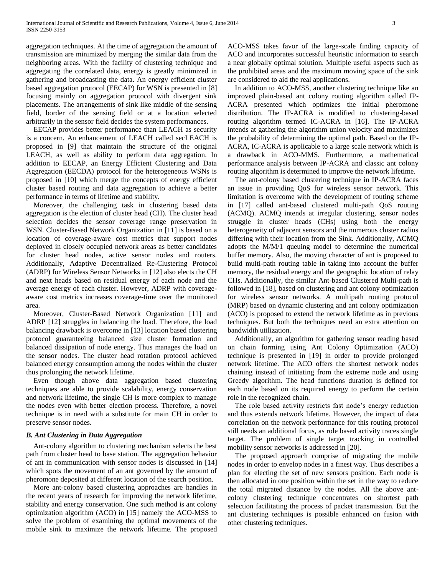aggregation techniques. At the time of aggregation the amount of transmission are minimized by merging the similar data from the neighboring areas. With the facility of clustering technique and aggregating the correlated data, energy is greatly minimized in gathering and broadcasting the data. An energy efficient cluster based aggregation protocol (EECAP) for WSN is presented in [8] focusing mainly on aggregation protocol with divergent sink placements. The arrangements of sink like middle of the sensing field, border of the sensing field or at a location selected arbitrarily in the sensor field decides the system performances.

 EECAP provides better performance than LEACH as security is a concern. An enhancement of LEACH called secLEACH is proposed in [9] that maintain the structure of the original LEACH, as well as ability to perform data aggregation. In addition to EECAP, an Energy Efficient Clustering and Data Aggregation (EECDA) protocol for the heterogeneous WSNs is proposed in [10] which merge the concepts of energy efficient cluster based routing and data aggregation to achieve a better performance in terms of lifetime and stability.

 Moreover, the challenging task in clustering based data aggregation is the election of cluster head (CH). The cluster head selection decides the sensor coverage range preservation in WSN. Cluster-Based Network Organization in [11] is based on a location of coverage-aware cost metrics that support nodes deployed in closely occupied network areas as better candidates for cluster head nodes, active sensor nodes and routers. Additionally, Adaptive Decentralized Re-Clustering Protocol (ADRP) for Wireless Sensor Networks in [12] also elects the CH and next heads based on residual energy of each node and the average energy of each cluster. However, ADRP with coverageaware cost metrics increases coverage-time over the monitored area.

 Moreover, Cluster-Based Network Organization [11] and ADRP [12] struggles in balancing the load. Therefore, the load balancing drawback is overcome in [13] location based clustering protocol guaranteeing balanced size cluster formation and balanced dissipation of node energy. Thus manages the load on the sensor nodes. The cluster head rotation protocol achieved balanced energy consumption among the nodes within the cluster thus prolonging the network lifetime.

 Even though above data aggregation based clustering techniques are able to provide scalability, energy conservation and network lifetime, the single CH is more complex to manage the nodes even with better election process. Therefore, a novel technique is in need with a substitute for main CH in order to preserve sensor nodes.

#### *B. Ant Clustering in Data Aggregation*

 Ant-colony algorithm to clustering mechanism selects the best path from cluster head to base station. The aggregation behavior of ant in communication with sensor nodes is discussed in [14] which spots the movement of an ant governed by the amount of pheromone deposited at different location of the search position.

 More ant-colony based clustering approaches are handles in the recent years of research for improving the network lifetime, stability and energy conservation. One such method is ant colony optimization algorithm (ACO) in [15] namely the ACO-MSS to solve the problem of examining the optimal movements of the mobile sink to maximize the network lifetime. The proposed

ACO-MSS takes favor of the large-scale finding capacity of ACO and incorporates successful heuristic information to search a near globally optimal solution. Multiple useful aspects such as the prohibited areas and the maximum moving space of the sink are considered to aid the real applications.

 In addition to ACO-MSS, another clustering technique like an improved plain-based ant colony routing algorithm called IP-ACRA presented which optimizes the initial pheromone distribution. The IP-ACRA is modified to clustering-based routing algorithm termed IC-ACRA in [16]. The IP-ACRA intends at gathering the algorithm union velocity and maximizes the probability of determining the optimal path. Based on the IP-ACRA, IC-ACRA is applicable to a large scale network which is a drawback in ACO-MMS. Furthermore, a mathematical performance analysis between IP-ACRA and classic ant colony routing algorithm is determined to improve the network lifetime.

 The ant-colony based clustering technique in IP-ACRA faces an issue in providing QoS for wireless sensor network. This limitation is overcome with the development of routing scheme in [17] called ant-based clustered multi-path QoS routing (ACMQ). ACMQ intends at irregular clustering, sensor nodes struggle in cluster heads (CHs) using both the energy heterogeneity of adjacent sensors and the numerous cluster radius differing with their location from the Sink. Additionally, ACMQ adopts the M/M/1 queuing model to determine the numerical buffer memory. Also, the moving character of ant is proposed to build multi-path routing table in taking into account the buffer memory, the residual energy and the geographic location of relay CHs. Additionally, the similar Ant-based Clustered Multi-path is followed in [18], based on clustering and ant colony optimization for wireless sensor networks. A multipath routing protocol (MRP) based on dynamic clustering and ant colony optimization (ACO) is proposed to extend the network lifetime as in previous techniques. But both the techniques need an extra attention on bandwidth utilization.

 Additionally, an algorithm for gathering sensor reading based on chain forming using Ant Colony Optimization (ACO) technique is presented in [19] in order to provide prolonged network lifetime. The ACO offers the shortest network nodes chaining instead of initiating from the extreme node and using Greedy algorithm. The head functions duration is defined for each node based on its required energy to perform the certain role in the recognized chain.

 The role based activity restricts fast node's energy reduction and thus extends network lifetime. However, the impact of data correlation on the network performance for this routing protocol still needs an additional focus, as role based activity traces single target. The problem of single target tracking in controlled mobility sensor networks is addressed in [20].

 The proposed approach comprise of migrating the mobile nodes in order to envelop nodes in a finest way. Thus describes a plan for electing the set of new sensors position. Each node is then allocated in one position within the set in the way to reduce the total migrated distance by the nodes. All the above antcolony clustering technique concentrates on shortest path selection facilitating the process of packet transmission. But the ant clustering techniques is possible enhanced on fusion with other clustering techniques.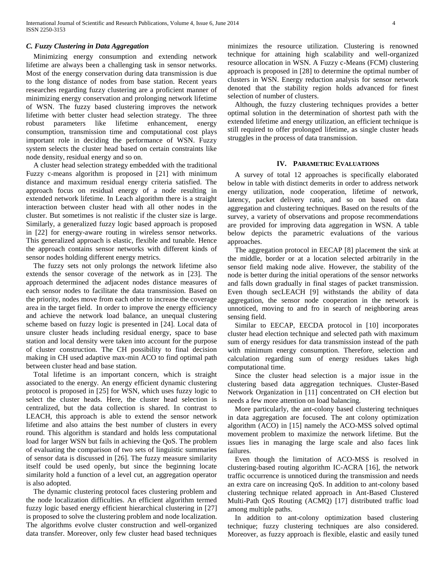## *C. Fuzzy Clustering in Data Aggregation*

 Minimizing energy consumption and extending network lifetime are always been a challenging task in sensor networks. Most of the energy conservation during data transmission is due to the long distance of nodes from base station. Recent years researches regarding fuzzy clustering are a proficient manner of minimizing energy conservation and prolonging network lifetime of WSN. The fuzzy based clustering improves the network lifetime with better cluster head selection strategy. The three robust parameters like lifetime enhancement, energy consumption, transmission time and computational cost plays important role in deciding the performance of WSN. Fuzzy system selects the cluster head based on certain constraints like node density, residual energy and so on.

 A cluster head selection strategy embedded with the traditional Fuzzy c-means algorithm is proposed in [21] with minimum distance and maximum residual energy criteria satisfied. The approach focus on residual energy of a node resulting in extended network lifetime. In Leach algorithm there is a straight interaction between cluster head with all other nodes in the cluster. But sometimes is not realistic if the cluster size is large. Similarly, a generalized fuzzy logic based approach is proposed in [22] for energy-aware routing in wireless sensor networks. This generalized approach is elastic, flexible and tunable. Hence the approach contains sensor networks with different kinds of sensor nodes holding different energy metrics.

 The fuzzy sets not only prolongs the network lifetime also extends the sensor coverage of the network as in [23]. The approach determined the adjacent nodes distance measures of each sensor nodes to facilitate the data transmission. Based on the priority, nodes move from each other to increase the coverage area in the target field. In order to improve the energy efficiency and achieve the network load balance, an unequal clustering scheme based on fuzzy logic is presented in [24]. Local data of unsure cluster heads including residual energy, space to base station and local density were taken into account for the purpose of cluster construction. The CH possibility to final decision making in CH used adaptive max-min ACO to find optimal path between cluster head and base station.

 Total lifetime is an important concern, which is straight associated to the energy. An energy efficient dynamic clustering protocol is proposed in [25] for WSN, which uses fuzzy logic to select the cluster heads. Here, the cluster head selection is centralized, but the data collection is shared. In contrast to LEACH, this approach is able to extend the sensor network lifetime and also attains the best number of clusters in every round. This algorithm is standard and holds less computational load for larger WSN but fails in achieving the QoS. The problem of evaluating the comparison of two sets of linguistic summaries of sensor data is discussed in [26]. The fuzzy measure similarity itself could be used openly, but since the beginning locate similarity hold a function of a level cut, an aggregation operator is also adopted.

 The dynamic clustering protocol faces clustering problem and the node localization difficulties. An efficient algorithm termed fuzzy logic based energy efficient hierarchical clustering in [27] is proposed to solve the clustering problem and node localization. The algorithms evolve cluster construction and well-organized data transfer. Moreover, only few cluster head based techniques minimizes the resource utilization. Clustering is renowned technique for attaining high scalability and well-organized resource allocation in WSN. A Fuzzy c-Means (FCM) clustering approach is proposed in [28] to determine the optimal number of clusters in WSN. Energy reduction analysis for sensor network denoted that the stability region holds advanced for finest selection of number of clusters.

 Although, the fuzzy clustering techniques provides a better optimal solution in the determination of shortest path with the extended lifetime and energy utilization, an efficient technique is still required to offer prolonged lifetime, as single cluster heads struggles in the process of data transmission.

## **IV. PARAMETRIC EVALUATIONS**

 A survey of total 12 approaches is specifically elaborated below in table with distinct demerits in order to address network energy utilization, node cooperation, lifetime of network, latency, packet delivery ratio, and so on based on data aggregation and clustering techniques. Based on the results of the survey, a variety of observations and propose recommendations are provided for improving data aggregation in WSN. A table below depicts the parametric evaluations of the various approaches.

 The aggregation protocol in EECAP [8] placement the sink at the middle, border or at a location selected arbitrarily in the sensor field making node alive. However, the stability of the node is better during the initial operations of the sensor networks and falls down gradually in final stages of packet transmission. Even though secLEACH [9] withstands the ability of data aggregation, the sensor node cooperation in the network is unnoticed, moving to and fro in search of neighboring areas sensing field.

 Similar to EECAP, EECDA protocol in [10] incorporates cluster head election technique and selected path with maximum sum of energy residues for data transmission instead of the path with minimum energy consumption. Therefore, selection and calculation regarding sum of energy residues takes high computational time.

 Since the cluster head selection is a major issue in the clustering based data aggregation techniques. Cluster-Based Network Organization in [11] concentrated on CH election but needs a few more attention on load balancing.

 More particularly, the ant-colony based clustering techniques in data aggregation are focused. The ant colony optimization algorithm (ACO) in [15] namely the ACO-MSS solved optimal movement problem to maximize the network lifetime. But the issues lies in managing the large scale and also faces link failures.

 Even though the limitation of ACO-MSS is resolved in clustering-based routing algorithm IC-ACRA [16], the network traffic occurrence is unnoticed during the transmission and needs an extra care on increasing QoS. In addition to ant-colony based clustering technique related approach in Ant-Based Clustered Multi-Path QoS Routing (ACMQ) [17] distributed traffic load among multiple paths.

 In addition to ant-colony optimization based clustering technique; fuzzy clustering techniques are also considered. Moreover, as fuzzy approach is flexible, elastic and easily tuned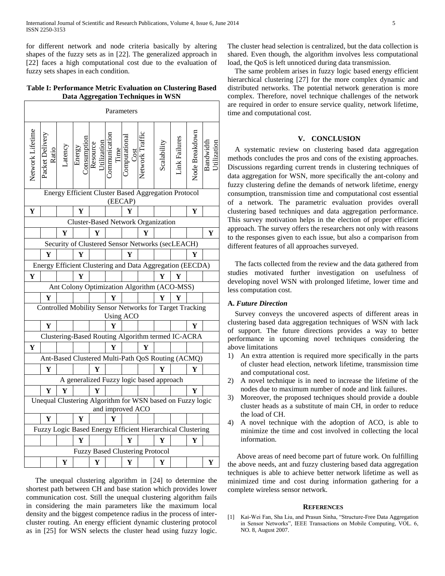for different network and node criteria basically by altering shapes of the fuzzy sets as in [22]. The generalized approach in [22] faces a high computational cost due to the evaluation of fuzzy sets shapes in each condition.

## **Table I: Performance Metric Evaluation on Clustering Based Data Aggregation Techniques in WSN**

| Parameters                                                                    |                                                            |   |                                                                                                                                                                    |   |   |   |                                        |            |              |                |        |
|-------------------------------------------------------------------------------|------------------------------------------------------------|---|--------------------------------------------------------------------------------------------------------------------------------------------------------------------|---|---|---|----------------------------------------|------------|--------------|----------------|--------|
| Network Lifetime                                                              | acket Delivery                                             |   | Ratio<br>Latency<br>Latency<br>Energy<br>Consumption<br>Resource<br>Computation<br>Computation<br>Computational<br>Computational<br>Computational<br>Computational |   |   |   |                                        | Scalabilit | ink Failures | Node Breakdown | Bandwi |
| <b>Energy Efficient Cluster Based Aggregation Protocol</b><br>(EECAP)         |                                                            |   |                                                                                                                                                                    |   |   |   |                                        |            |              |                |        |
| Y                                                                             |                                                            |   | Y                                                                                                                                                                  |   |   | Y |                                        |            |              | Y              |        |
| <b>Cluster-Based Network Organization</b>                                     |                                                            |   |                                                                                                                                                                    |   |   |   |                                        |            |              |                |        |
|                                                                               |                                                            | Y |                                                                                                                                                                    | Y |   |   | Y                                      |            |              |                | Y      |
| Security of Clustered Sensor Networks (secLEACH)                              |                                                            |   |                                                                                                                                                                    |   |   |   |                                        |            |              |                |        |
|                                                                               | Y                                                          |   | Y                                                                                                                                                                  |   |   | Y |                                        |            |              | Y              |        |
| Energy Efficient Clustering and Data Aggregation (EECDA)                      |                                                            |   |                                                                                                                                                                    |   |   |   |                                        |            |              |                |        |
| ${\bf Y}$                                                                     |                                                            |   | Y                                                                                                                                                                  |   |   |   |                                        | Y          | Y            |                |        |
| Ant Colony Optimization Algorithm (ACO-MSS)                                   |                                                            |   |                                                                                                                                                                    |   |   |   |                                        |            |              |                |        |
|                                                                               | Y                                                          |   |                                                                                                                                                                    |   | Y |   |                                        | Y          | Ÿ            |                |        |
| Controlled Mobility Sensor Networks for Target Tracking<br><b>Using ACO</b>   |                                                            |   |                                                                                                                                                                    |   |   |   |                                        |            |              |                |        |
|                                                                               | Y                                                          |   |                                                                                                                                                                    |   | Y |   |                                        |            |              | Y              |        |
| Clustering-Based Routing Algorithm termed IC-ACRA                             |                                                            |   |                                                                                                                                                                    |   |   |   |                                        |            |              |                |        |
| Y                                                                             |                                                            |   |                                                                                                                                                                    |   | Y |   | Y                                      |            |              |                |        |
| Ant-Based Clustered Multi-Path QoS Routing (ACMQ)                             |                                                            |   |                                                                                                                                                                    |   |   |   |                                        |            |              |                |        |
|                                                                               | Y                                                          |   |                                                                                                                                                                    | Y |   |   |                                        | Y          |              | Y              |        |
| A generalized Fuzzy logic based approach                                      |                                                            |   |                                                                                                                                                                    |   |   |   |                                        |            |              |                |        |
|                                                                               | Y                                                          | Y |                                                                                                                                                                    | Y |   |   |                                        |            |              | Y              |        |
| Unequal Clustering Algorithm for WSN based on Fuzzy logic<br>and improved ACO |                                                            |   |                                                                                                                                                                    |   |   |   |                                        |            |              |                |        |
|                                                                               |                                                            |   |                                                                                                                                                                    |   |   |   |                                        |            |              |                |        |
|                                                                               | Y                                                          |   | Y                                                                                                                                                                  |   | Y |   |                                        |            |              |                |        |
|                                                                               | Fuzzy Logic Based Energy Efficient Hierarchical Clustering |   |                                                                                                                                                                    |   |   |   |                                        |            |              |                |        |
|                                                                               |                                                            |   | Y                                                                                                                                                                  |   |   | Y |                                        | Y          |              | Y              |        |
|                                                                               |                                                            |   |                                                                                                                                                                    |   |   |   | <b>Fuzzy Based Clustering Protocol</b> |            |              |                |        |

 The unequal clustering algorithm in [24] to determine the shortest path between CH and base station which provides lower communication cost. Still the unequal clustering algorithm fails in considering the main parameters like the maximum local density and the biggest competence radius in the process of intercluster routing. An energy efficient dynamic clustering protocol as in [25] for WSN selects the cluster head using fuzzy logic.

The cluster head selection is centralized, but the data collection is shared. Even though, the algorithm involves less computational load, the QoS is left unnoticed during data transmission.

 The same problem arises in fuzzy logic based energy efficient hierarchical clustering [27] for the more complex dynamic and distributed networks. The potential network generation is more complex. Therefore, novel technique challenges of the network are required in order to ensure service quality, network lifetime, time and computational cost.

#### **V. CONCLUSION**

A systematic review on clustering based data aggregation methods concludes the pros and cons of the existing approaches. Discussions regarding current trends in clustering techniques of data aggregation for WSN, more specifically the ant-colony and fuzzy clustering define the demands of network lifetime, energy consumption, transmission time and computational cost essential of a network. The parametric evaluation provides overall clustering based techniques and data aggregation performance. This survey motivation helps in the election of proper efficient approach. The survey offers the researchers not only with reasons to the responses given to each issue, but also a comparison from different features of all approaches surveyed.

The facts collected from the review and the data gathered from studies motivated further investigation on usefulness of developing novel WSN with prolonged lifetime, lower time and less computation cost.

## **A.** *Future Direction*

 Survey conveys the uncovered aspects of different areas in clustering based data aggregation techniques of WSN with lack of support. The future directions provides a way to better performance in upcoming novel techniques considering the above limitations

- 1) An extra attention is required more specifically in the parts of cluster head election, network lifetime, transmission time and computational cost.
- 2) A novel technique is in need to increase the lifetime of the nodes due to maximum number of node and link failures.
- 3) Moreover, the proposed techniques should provide a double cluster heads as a substitute of main CH, in order to reduce the load of CH.
- 4) A novel technique with the adoption of ACO, is able to minimize the time and cost involved in collecting the local information.

 Above areas of need become part of future work. On fulfilling the above needs, ant and fuzzy clustering based data aggregation techniques is able to achieve better network lifetime as well as minimized time and cost during information gathering for a complete wireless sensor network.

#### **REFERENCES**

[1] Kai-Wei Fan, Sha Liu, and Prasun Sinha, "Structure-Free Data Aggregation in Sensor Networks", IEEE Transactions on Mobile Computing, VOL. 6, NO. 8, August 2007.